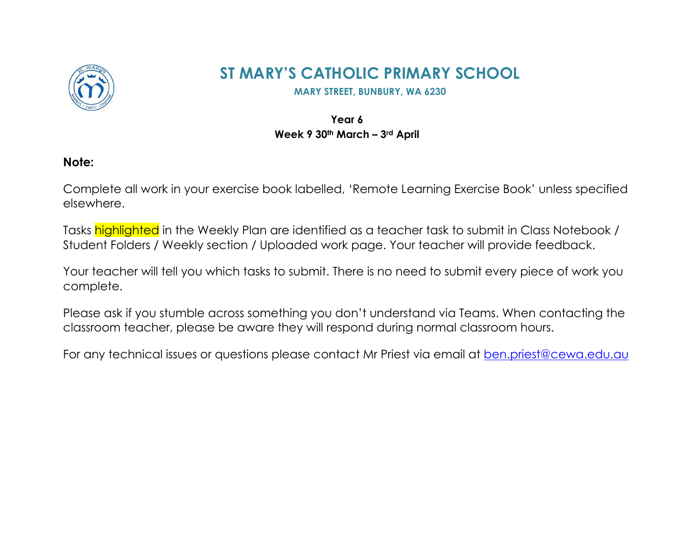

## **ST MARY'S CATHOLIC PRIMARY SCHOOL**

**MARY STREET, BUNBURY, WA 6230** 

## **Year 6 Week 9 30th March – 3rd April**

## **Note:**

Complete all work in your exercise book labelled, 'Remote Learning Exercise Book' unless specified elsewhere.

Tasks highlighted in the Weekly Plan are identified as a teacher task to submit in Class Notebook / Student Folders / Weekly section / Uploaded work page. Your teacher will provide feedback.

Your teacher will tell you which tasks to submit. There is no need to submit every piece of work you complete.

Please ask if you stumble across something you don't understand via Teams. When contacting the classroom teacher, please be aware they will respond during normal classroom hours.

For any technical issues or questions please contact Mr Priest via email at [ben.priest@cewa.edu.au](mailto:ben.priest@cewa.edu.au)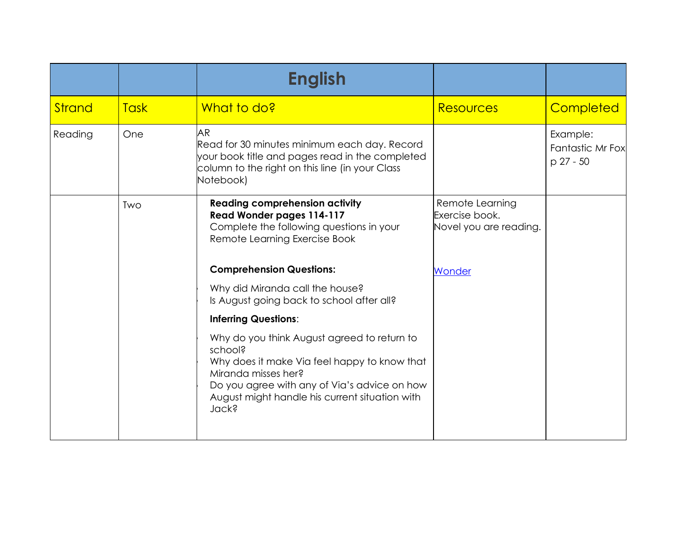|               |             | <b>English</b>                                                                                                                                                                                                                                  |                                                             |                                           |
|---------------|-------------|-------------------------------------------------------------------------------------------------------------------------------------------------------------------------------------------------------------------------------------------------|-------------------------------------------------------------|-------------------------------------------|
| <b>Strand</b> | <b>Task</b> | What to do?                                                                                                                                                                                                                                     | <b>Resources</b>                                            | Completed                                 |
| Reading       | One         | <b>AR</b><br>Read for 30 minutes minimum each day. Record<br>your book title and pages read in the completed<br>column to the right on this line (in your Class<br>Notebook)                                                                    |                                                             | Example:<br>Fantastic Mr Fox<br>p 27 - 50 |
|               | Two         | <b>Reading comprehension activity</b><br>Read Wonder pages 114-117<br>Complete the following questions in your<br>Remote Learning Exercise Book                                                                                                 | Remote Learning<br>Exercise book.<br>Novel you are reading. |                                           |
|               |             | <b>Comprehension Questions:</b>                                                                                                                                                                                                                 | Wonder                                                      |                                           |
|               |             | Why did Miranda call the house?<br>Is August going back to school after all?                                                                                                                                                                    |                                                             |                                           |
|               |             | <b>Inferring Questions:</b>                                                                                                                                                                                                                     |                                                             |                                           |
|               |             | Why do you think August agreed to return to<br>school?<br>Why does it make Via feel happy to know that<br>Miranda misses her?<br>Do you agree with any of Via's advice on how<br>August might handle his current situation with<br><b>Jack?</b> |                                                             |                                           |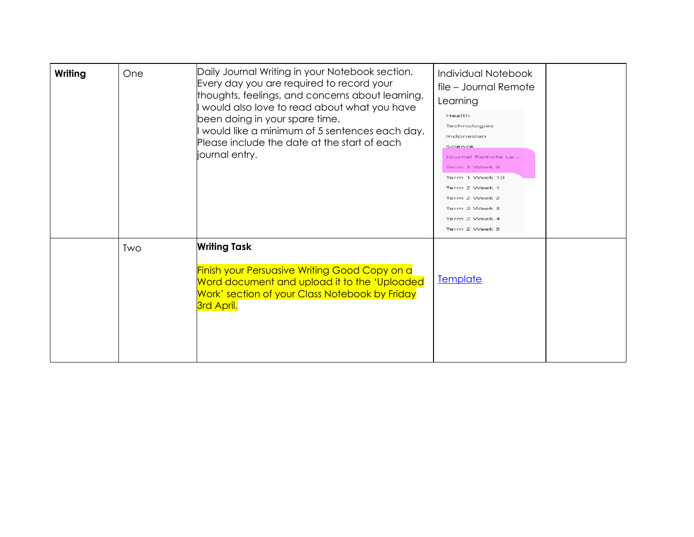| Daily Journal Writing in your Notebook section.<br>Writing<br>One<br>Every day you are required to record your<br>thoughts, feelings, and concerns about learning,<br>I would also love to read about what you have<br>been doing in your spare time.<br>would like a minimum of 5 sentences each day.<br>Please include the date at the start of each<br>journal entry.<br><b>Writing Task</b><br>Two<br><b>Finish your Persuasive Writing Good Copy on a</b><br>Word document and upload it to the 'Uploaded | Individual Notebook<br>file - Journal Remote<br>Learning<br>Health<br>Technologies<br>Indonesian<br>Science<br>Journal Remote Le<br>Term 1 Week 9<br>Term 1 Week 10<br>Term 2 Week 1<br>Term 2 Week 2<br>Term 2 Week 3<br>Term 2 Week 4<br>Term 2 Week 5 |                                                              |                 |
|----------------------------------------------------------------------------------------------------------------------------------------------------------------------------------------------------------------------------------------------------------------------------------------------------------------------------------------------------------------------------------------------------------------------------------------------------------------------------------------------------------------|----------------------------------------------------------------------------------------------------------------------------------------------------------------------------------------------------------------------------------------------------------|--------------------------------------------------------------|-----------------|
|                                                                                                                                                                                                                                                                                                                                                                                                                                                                                                                |                                                                                                                                                                                                                                                          | Work' section of your Class Notebook by Friday<br>3rd April. | <b>Template</b> |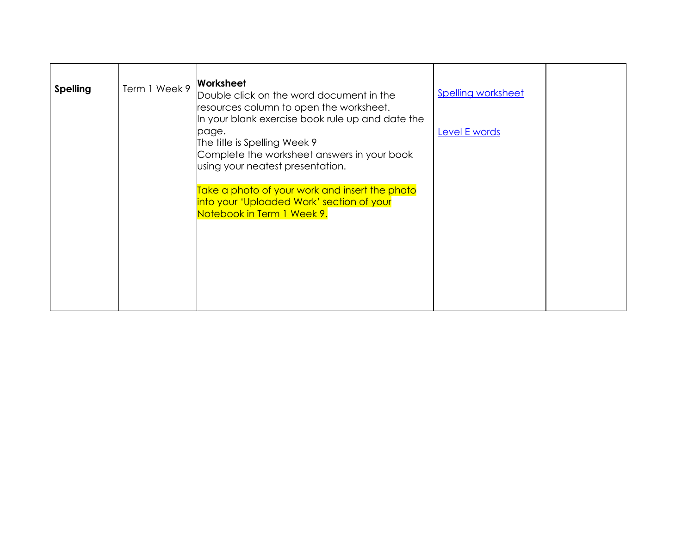| <b>Spelling</b> | Term 1 Week 9 | Worksheet<br>Double click on the word document in the<br>resources column to open the worksheet.<br>In your blank exercise book rule up and date the<br>page.<br>The title is Spelling Week 9<br>Complete the worksheet answers in your book<br>using your neatest presentation. | <b>Spelling worksheet</b><br>Level E words |  |
|-----------------|---------------|----------------------------------------------------------------------------------------------------------------------------------------------------------------------------------------------------------------------------------------------------------------------------------|--------------------------------------------|--|
|                 |               | Take a photo of your work and insert the photo<br>into your 'Uploaded Work' section of your<br>Notebook in Term 1 Week 9.                                                                                                                                                        |                                            |  |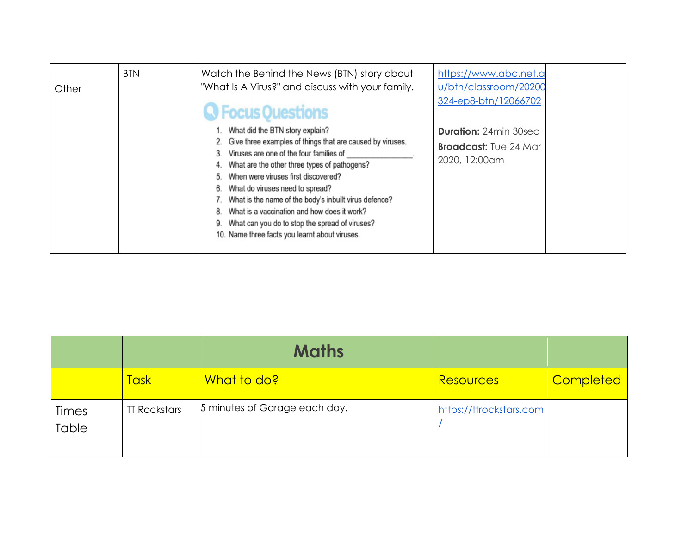| Other | <b>BTN</b> | Watch the Behind the News (BTN) story about<br>"What Is A Virus?" and discuss with your family.<br><b>J</b> Focus Questions                                                                                                                                                                                                                                                                                                                                                         | https://www.abc.net.a<br>u/btn/classroom/20200<br>324-ep8-btn/12066702        |
|-------|------------|-------------------------------------------------------------------------------------------------------------------------------------------------------------------------------------------------------------------------------------------------------------------------------------------------------------------------------------------------------------------------------------------------------------------------------------------------------------------------------------|-------------------------------------------------------------------------------|
|       |            | 1. What did the BTN story explain?<br>2. Give three examples of things that are caused by viruses.<br>Viruses are one of the four families of<br>What are the other three types of pathogens?<br>When were viruses first discovered?<br>What do viruses need to spread?<br>What is the name of the body's inbuilt virus defence?<br>What is a vaccination and how does it work?<br>What can you do to stop the spread of viruses?<br>10. Name three facts you learnt about viruses. | <b>Duration: 24min 30sec</b><br><b>Broadcast:</b> Tue 24 Mar<br>2020, 12:00am |

|                |                     | <b>Maths</b>                  |                         |           |
|----------------|---------------------|-------------------------------|-------------------------|-----------|
|                | Task:               | What to do?                   | Resources               | Completed |
| Times<br>Table | <b>TT Rockstars</b> | 5 minutes of Garage each day. | https://ttrockstars.com |           |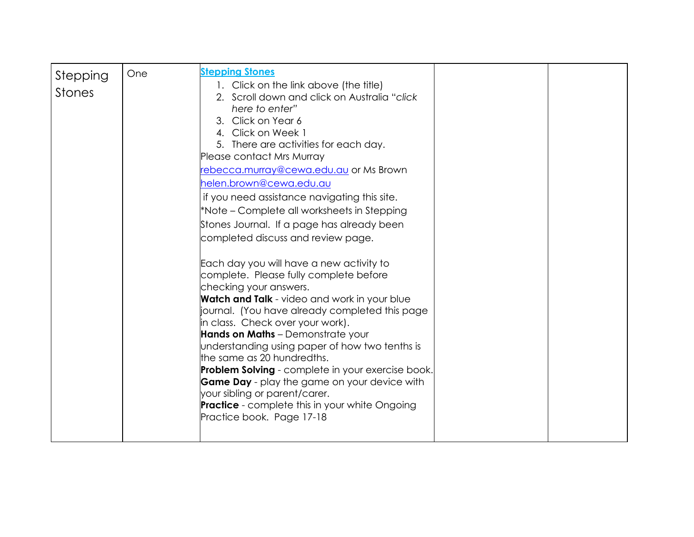| Stepping<br><b>Stones</b> | One | <b>Stepping Stones</b><br>1. Click on the link above (the title)<br>2. Scroll down and click on Australia "click"<br>here to enter"<br>3. Click on Year 6<br>4. Click on Week 1<br>5. There are activities for each day.<br>Please contact Mrs Murray<br>rebecca.murray@cewa.edu.au or Ms Brown<br>helen.brown@cewa.edu.au<br>if you need assistance navigating this site.<br>*Note – Complete all worksheets in Stepping<br>Stones Journal. If a page has already been<br>completed discuss and review page.<br>Each day you will have a new activity to<br>complete. Please fully complete before<br>checking your answers.<br><b>Watch and Talk</b> - video and work in your blue<br>journal. (You have already completed this page<br>in class. Check over your work).<br>Hands on Maths - Demonstrate your<br>understanding using paper of how two tenths is<br>the same as 20 hundredths.<br>Problem Solving - complete in your exercise book.<br><b>Game Day</b> - play the game on your device with<br>your sibling or parent/carer.<br><b>Practice</b> - complete this in your white Ongoing<br>Practice book. Page 17-18 |  |  |
|---------------------------|-----|------------------------------------------------------------------------------------------------------------------------------------------------------------------------------------------------------------------------------------------------------------------------------------------------------------------------------------------------------------------------------------------------------------------------------------------------------------------------------------------------------------------------------------------------------------------------------------------------------------------------------------------------------------------------------------------------------------------------------------------------------------------------------------------------------------------------------------------------------------------------------------------------------------------------------------------------------------------------------------------------------------------------------------------------------------------------------------------------------------------------------------|--|--|
|---------------------------|-----|------------------------------------------------------------------------------------------------------------------------------------------------------------------------------------------------------------------------------------------------------------------------------------------------------------------------------------------------------------------------------------------------------------------------------------------------------------------------------------------------------------------------------------------------------------------------------------------------------------------------------------------------------------------------------------------------------------------------------------------------------------------------------------------------------------------------------------------------------------------------------------------------------------------------------------------------------------------------------------------------------------------------------------------------------------------------------------------------------------------------------------|--|--|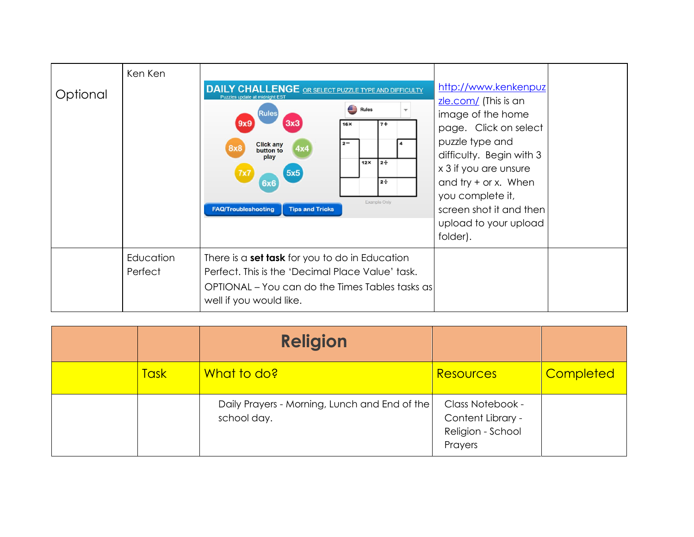| Optional | Ken Ken              | <b>DAILY CHALLENGE</b> OR SELECT PUZZLE TYPE AND DIFFICULTY<br>Puzzles update at midnight EST<br>Rules<br>3x3<br>9x9<br>$7+$<br>16X<br>$2 -$<br><b>Click any</b><br>button to<br>4x4<br>play<br>$12 \div$<br>12X<br>5x5<br>$2 \div$<br><b>6x6</b><br>Example Only<br><b>FAQ/Troubleshooting</b><br><b>Tips and Tricks</b> | http://www.kenkenpuz<br>zle.com/ (This is an<br>image of the home<br>page. Click on select<br>puzzle type and<br>difficulty. Begin with 3<br>x 3 if you are unsure<br>and try $+$ or x. When<br>you complete it,<br>screen shot it and then<br>upload to your upload<br>folder). |  |
|----------|----------------------|---------------------------------------------------------------------------------------------------------------------------------------------------------------------------------------------------------------------------------------------------------------------------------------------------------------------------|----------------------------------------------------------------------------------------------------------------------------------------------------------------------------------------------------------------------------------------------------------------------------------|--|
|          | Education<br>Perfect | There is a set task for you to do in Education<br>Perfect. This is the 'Decimal Place Value' task.<br>OPTIONAL – You can do the Times Tables tasks as<br>well if you would like.                                                                                                                                          |                                                                                                                                                                                                                                                                                  |  |

|             | <b>Religion</b>                                              |                                                                       |                  |
|-------------|--------------------------------------------------------------|-----------------------------------------------------------------------|------------------|
| <b>Task</b> | What to do?                                                  | <b>Resources</b>                                                      | <b>Completed</b> |
|             | Daily Prayers - Morning, Lunch and End of the<br>school day. | Class Notebook -<br>Content Library -<br>Religion - School<br>Prayers |                  |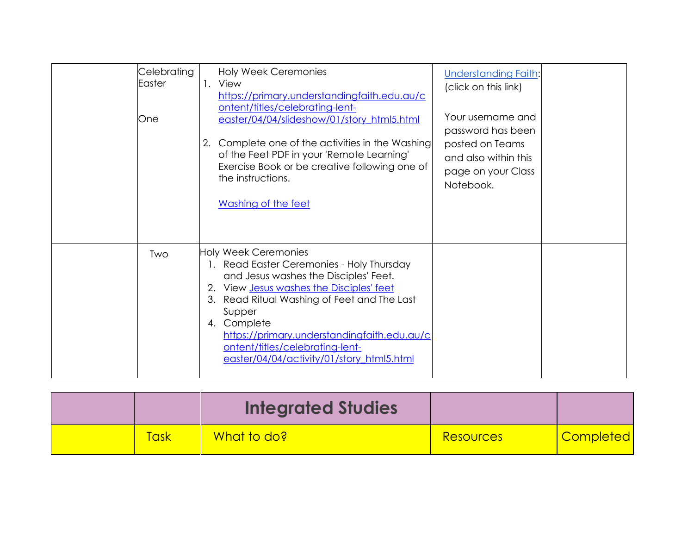| Celebrating<br>Easter<br>One | <b>Holy Week Ceremonies</b><br>1. View<br>https://primary.understandingfaith.edu.au/c<br>ontent/titles/celebrating-lent-<br>easter/04/04/slideshow/01/story_html5.html<br>Complete one of the activities in the Washing<br>2.<br>of the Feet PDF in your 'Remote Learning'<br>Exercise Book or be creative following one of<br>the instructions.<br>Washing of the feet | <b>Understanding Faith:</b><br>(click on this link)<br>Your username and<br>password has been<br>posted on Teams<br>and also within this<br>page on your Class<br>Notebook. |
|------------------------------|-------------------------------------------------------------------------------------------------------------------------------------------------------------------------------------------------------------------------------------------------------------------------------------------------------------------------------------------------------------------------|-----------------------------------------------------------------------------------------------------------------------------------------------------------------------------|
| Two                          | Holy Week Ceremonies<br>1. Read Easter Ceremonies - Holy Thursday<br>and Jesus washes the Disciples' Feet.<br>2. View Jesus washes the Disciples' feet<br>3. Read Ritual Washing of Feet and The Last<br>Supper<br>4. Complete<br>https://primary.understandingfaith.edu.au/c<br>ontent/titles/celebrating-lent-<br>easter/04/04/activity/01/story html5.html           |                                                                                                                                                                             |

|      | <b>Integrated Studies</b> |                  |           |
|------|---------------------------|------------------|-----------|
| 「ask | What to do?               | <b>Resources</b> | Completed |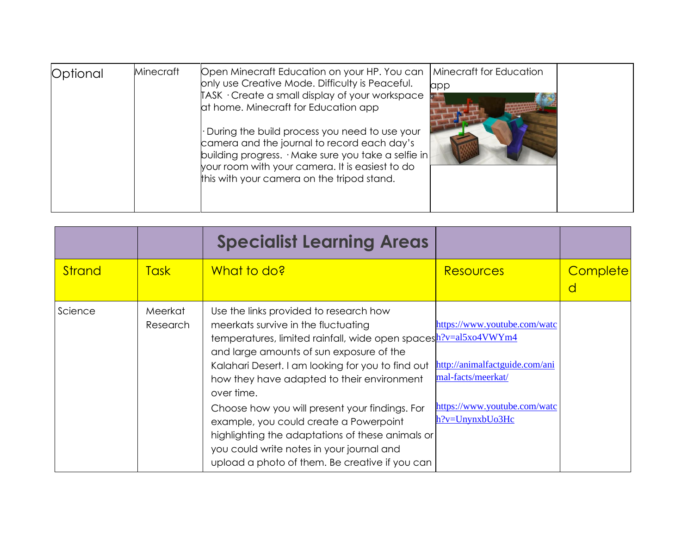| Optional | Minecraft | Open Minecraft Education on your HP. You can<br>only use Creative Mode. Difficulty is Peaceful.<br>TASK · Create a small display of your workspace<br>at home. Minecraft for Education app<br>. During the build process you need to use your<br>camera and the journal to record each day's<br>building progress. $\cdot$ Make sure you take a selfie in<br>your room with your camera. It is easiest to do<br>this with your camera on the tripod stand. | Minecraft for Education<br>app |  |
|----------|-----------|------------------------------------------------------------------------------------------------------------------------------------------------------------------------------------------------------------------------------------------------------------------------------------------------------------------------------------------------------------------------------------------------------------------------------------------------------------|--------------------------------|--|
|----------|-----------|------------------------------------------------------------------------------------------------------------------------------------------------------------------------------------------------------------------------------------------------------------------------------------------------------------------------------------------------------------------------------------------------------------------------------------------------------------|--------------------------------|--|

|               |                     | <b>Specialist Learning Areas</b>                                                                                                                                                                                                                                                                              |                                                                                      |               |
|---------------|---------------------|---------------------------------------------------------------------------------------------------------------------------------------------------------------------------------------------------------------------------------------------------------------------------------------------------------------|--------------------------------------------------------------------------------------|---------------|
| <b>Strand</b> | <b>Task</b>         | What to do?                                                                                                                                                                                                                                                                                                   | <b>Resources</b>                                                                     | Complete<br>a |
| Science       | Meerkat<br>Research | Use the links provided to research how<br>meerkats survive in the fluctuating<br>temperatures, limited rainfall, wide open spacesh?v=al5xo4VWYm4<br>and large amounts of sun exposure of the<br>Kalahari Desert. I am looking for you to find out<br>how they have adapted to their environment<br>over time. | https://www.youtube.com/watc<br>http://animalfactguide.com/ani<br>mal-facts/meerkat/ |               |
|               |                     | Choose how you will present your findings. For<br>example, you could create a Powerpoint<br>highlighting the adaptations of these animals or<br>you could write notes in your journal and<br>upload a photo of them. Be creative if you can                                                                   | https://www.youtube.com/watc<br>$h$ ?v=UnynxbUo3Hc                                   |               |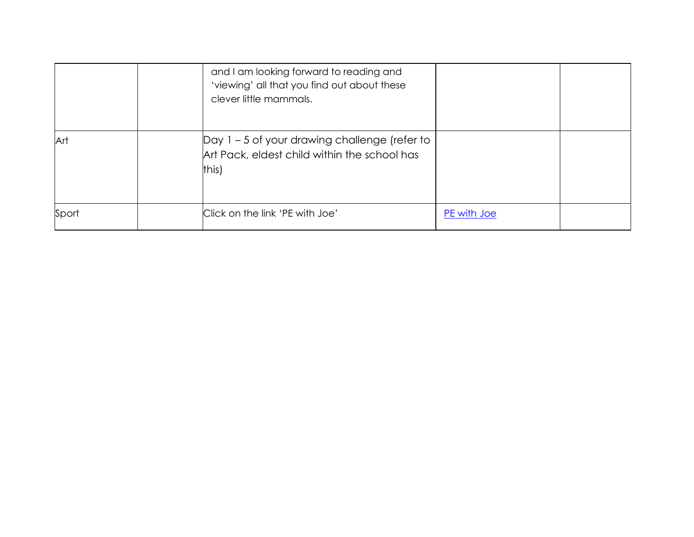|       | and I am looking forward to reading and<br>'viewing' all that you find out about these<br>clever little mammals. |             |  |
|-------|------------------------------------------------------------------------------------------------------------------|-------------|--|
| Art   | Day 1 - 5 of your drawing challenge (refer to<br>Art Pack, eldest child within the school has<br>this)           |             |  |
| Sport | Click on the link 'PE with Joe'                                                                                  | PE with Joe |  |